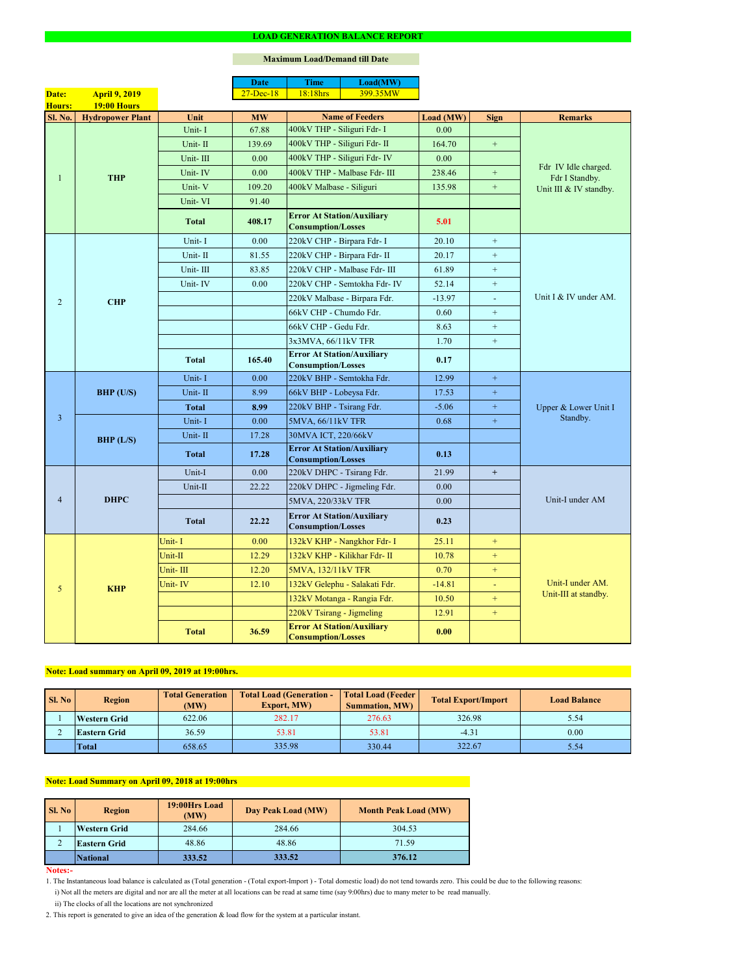#### **Notes:-**

2. This report is generated to give an idea of the generation & load flow for the system at a particular instant.

### **Maximum Load/Demand till Date**

ii) The clocks of all the locations are not synchronized

1. The Instantaneous load balance is calculated as (Total generation - (Total export-Import ) - Total domestic load) do not tend towards zero. This could be due to the following reasons:

| SI. No | <b>Region</b>       | <b>Total Generation</b><br>(MW) | <b>Total Load (Generation -</b><br><b>Export, MW)</b> | <b>Total Load (Feeder)</b><br><b>Summation, MW)</b> | <b>Total Export/Import</b> | <b>Load Balance</b> |
|--------|---------------------|---------------------------------|-------------------------------------------------------|-----------------------------------------------------|----------------------------|---------------------|
|        | <b>Western Grid</b> | 622.06                          | 282.17                                                | 276.63                                              | 326.98                     | 5.54                |
|        | <b>Eastern Grid</b> | 36.59                           | 53.81                                                 | 53.81                                               | $-4.31$                    | 0.00                |
|        | <b>Total</b>        | 658.65                          | 335.98                                                | 330.44                                              | 322.67                     | 5.54                |

|                |                         |              | <b>Date</b>   | <b>Time</b>                                                    | Load(MW)                      |           |                  |                                          |  |
|----------------|-------------------------|--------------|---------------|----------------------------------------------------------------|-------------------------------|-----------|------------------|------------------------------------------|--|
| Date:          | <b>April 9, 2019</b>    |              | $27 - Dec-18$ | 18:18hrs                                                       | 399.35MW                      |           |                  |                                          |  |
| <b>Hours:</b>  | <b>19:00 Hours</b>      |              |               |                                                                |                               |           |                  |                                          |  |
| <b>Sl. No.</b> | <b>Hydropower Plant</b> | Unit         | <b>MW</b>     |                                                                | <b>Name of Feeders</b>        | Load (MW) | <b>Sign</b>      | <b>Remarks</b>                           |  |
|                | <b>THP</b>              | Unit-I       | 67.88         | 400kV THP - Siliguri Fdr- I                                    |                               | 0.00      |                  |                                          |  |
|                |                         | Unit-II      | 139.69        | 400kV THP - Siliguri Fdr- II                                   |                               | 164.70    | $+$              |                                          |  |
|                |                         | Unit-III     | 0.00          |                                                                | 400kV THP - Siliguri Fdr- IV  | 0.00      |                  | Fdr IV Idle charged.                     |  |
|                |                         | Unit-IV      | 0.00          |                                                                | 400kV THP - Malbase Fdr- III  | 238.46    | $+$              | Fdr I Standby.<br>Unit III & IV standby. |  |
|                |                         | Unit-V       | 109.20        | 400kV Malbase - Siliguri                                       |                               | 135.98    | $+$              |                                          |  |
|                |                         | Unit-VI      | 91.40         |                                                                |                               |           |                  |                                          |  |
|                |                         | <b>Total</b> | 408.17        | <b>Error At Station/Auxiliary</b><br><b>Consumption/Losses</b> |                               | 5.01      |                  |                                          |  |
|                |                         | Unit-I       | 0.00          | 220kV CHP - Birpara Fdr- I                                     |                               | 20.10     | $+$              |                                          |  |
|                |                         | Unit-II      | 81.55         |                                                                | 220kV CHP - Birpara Fdr- II   | 20.17     | $+$              |                                          |  |
|                |                         | Unit-III     | 83.85         |                                                                | 220kV CHP - Malbase Fdr- III  | 61.89     | $+$              |                                          |  |
|                |                         | Unit-IV      | 0.00          |                                                                | 220kV CHP - Semtokha Fdr- IV  | 52.14     | $\boldsymbol{+}$ |                                          |  |
| $\overline{2}$ | <b>CHP</b>              |              |               |                                                                | 220kV Malbase - Birpara Fdr.  | $-13.97$  | $\omega$         | Unit I & IV under AM.                    |  |
|                |                         |              |               | 66kV CHP - Chumdo Fdr.                                         |                               | 0.60      | $+$              |                                          |  |
|                |                         |              |               | 66kV CHP - Gedu Fdr.                                           |                               | 8.63      | $+$              |                                          |  |
|                |                         |              |               | 3x3MVA, 66/11kV TFR                                            |                               | 1.70      | $+$              |                                          |  |
|                |                         | <b>Total</b> | 165.40        | <b>Error At Station/Auxiliary</b><br><b>Consumption/Losses</b> |                               | 0.17      |                  |                                          |  |
|                | BHP (U/S)               | Unit-I       | 0.00          | 220kV BHP - Semtokha Fdr.                                      |                               | 12.99     | $+$              | Upper & Lower Unit I<br>Standby.         |  |
|                |                         | Unit-II      | 8.99          | 66kV BHP - Lobeysa Fdr.                                        |                               | 17.53     | $\boldsymbol{+}$ |                                          |  |
|                |                         | <b>Total</b> | 8.99          | 220kV BHP - Tsirang Fdr.                                       |                               | $-5.06$   | $+$              |                                          |  |
| $\overline{3}$ |                         | Unit-I       | 0.00          | 5MVA, 66/11kV TFR                                              |                               | 0.68      | $+$              |                                          |  |
|                | BHP (L/S)               | Unit-II      | 17.28         | 30MVA ICT, 220/66kV                                            |                               |           |                  |                                          |  |
|                |                         | <b>Total</b> | 17.28         | <b>Error At Station/Auxiliary</b><br><b>Consumption/Losses</b> |                               | 0.13      |                  |                                          |  |
|                | <b>DHPC</b>             | Unit-I       | 0.00          | 220kV DHPC - Tsirang Fdr.                                      |                               | 21.99     | $+$              |                                          |  |
|                |                         | Unit-II      | 22.22         |                                                                | 220kV DHPC - Jigmeling Fdr.   | 0.00      |                  |                                          |  |
| $\overline{4}$ |                         |              |               | 5MVA, 220/33kV TFR                                             |                               | 0.00      |                  | Unit-I under AM                          |  |
|                |                         | <b>Total</b> | 22.22         | <b>Error At Station/Auxiliary</b><br><b>Consumption/Losses</b> |                               | 0.23      |                  |                                          |  |
|                |                         | Unit-I       | 0.00          |                                                                | 132kV KHP - Nangkhor Fdr- I   | 25.11     | $+$              |                                          |  |
|                |                         | Unit-II      | 12.29         |                                                                | 132kV KHP - Kilikhar Fdr- II  | 10.78     | $+$              |                                          |  |
|                | <b>KHP</b>              | Unit-III     | 12.20         | 5MVA, 132/11kV TFR                                             |                               | 0.70      | $+$              |                                          |  |
| 5              |                         | Unit-IV      | 12.10         |                                                                | 132kV Gelephu - Salakati Fdr. | $-14.81$  | $\blacksquare$   | Unit-I under AM.                         |  |
|                |                         |              |               |                                                                | 132kV Motanga - Rangia Fdr.   | 10.50     | $+$              | Unit-III at standby.                     |  |
|                |                         |              |               | 220kV Tsirang - Jigmeling                                      |                               | 12.91     | $+$              |                                          |  |
|                |                         | <b>Total</b> | 36.59         | <b>Error At Station/Auxiliary</b><br><b>Consumption/Losses</b> |                               | 0.00      |                  |                                          |  |

| <b>Sl. No</b> | 19:00Hrs Load<br><b>Region</b><br>(MW) |        | Day Peak Load (MW) | <b>Month Peak Load (MW)</b> |
|---------------|----------------------------------------|--------|--------------------|-----------------------------|
|               | <b>Western Grid</b>                    | 284.66 | 284.66             | 304.53                      |
|               | <b>Eastern Grid</b>                    | 48.86  | 48.86              | 71.59                       |
|               | <b>National</b>                        | 333.52 | 333.52             | 376.12                      |

# **Note: Load summary on April 09, 2019 at 19:00hrs.**

i) Not all the meters are digital and nor are all the meter at all locations can be read at same time (say 9:00hrs) due to many meter to be read manually.

# **Note: Load Summary on April 09, 2018 at 19:00hrs**

#### **LOAD GENERATION BALANCE REPORT**